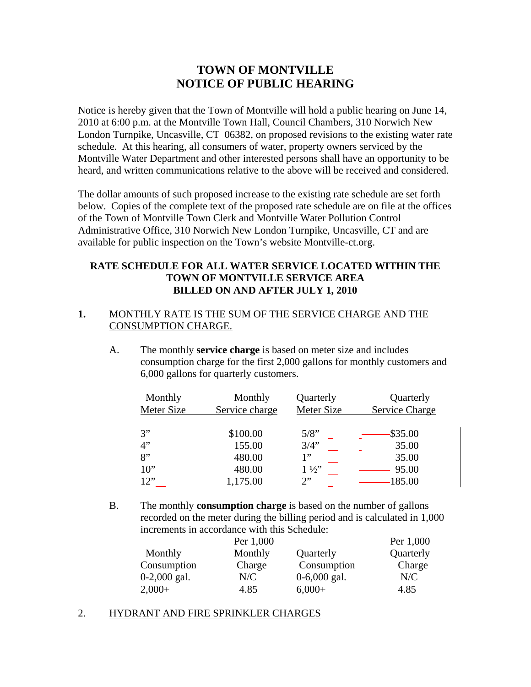# **TOWN OF MONTVILLE NOTICE OF PUBLIC HEARING**

Notice is hereby given that the Town of Montville will hold a public hearing on June 14, 2010 at 6:00 p.m. at the Montville Town Hall, Council Chambers, 310 Norwich New London Turnpike, Uncasville, CT 06382, on proposed revisions to the existing water rate schedule. At this hearing, all consumers of water, property owners serviced by the Montville Water Department and other interested persons shall have an opportunity to be heard, and written communications relative to the above will be received and considered.

The dollar amounts of such proposed increase to the existing rate schedule are set forth below. Copies of the complete text of the proposed rate schedule are on file at the offices of the Town of Montville Town Clerk and Montville Water Pollution Control Administrative Office, 310 Norwich New London Turnpike, Uncasville, CT and are available for public inspection on the Town's website Montville-ct.org.

# **RATE SCHEDULE FOR ALL WATER SERVICE LOCATED WITHIN THE TOWN OF MONTVILLE SERVICE AREA BILLED ON AND AFTER JULY 1, 2010**

# **1.** MONTHLY RATE IS THE SUM OF THE SERVICE CHARGE AND THE CONSUMPTION CHARGE.

A. The monthly **service charge** is based on meter size and includes consumption charge for the first 2,000 gallons for monthly customers and 6,000 gallons for quarterly customers.

| Monthly<br>Meter Size | Monthly<br>Service charge | Quarterly<br>Meter Size | Quarterly<br><b>Service Charge</b> |
|-----------------------|---------------------------|-------------------------|------------------------------------|
| 3"                    | \$100.00                  | 5/8"                    | $-$ \$35.00                        |
| 4"                    | 155.00                    | 3/4"                    | 35.00                              |
| 8"                    | 480.00                    | 1"                      | 35.00                              |
| $10$ "                | 480.00                    | $1\frac{1}{2}$          | 95.00                              |
| 12"                   | 1,175.00                  | 2"                      | 185.00                             |

B. The monthly **consumption charge** is based on the number of gallons recorded on the meter during the billing period and is calculated in 1,000 increments in accordance with this Schedule:

|                | Per 1,000 |                | Per 1,000 |
|----------------|-----------|----------------|-----------|
| Monthly        | Monthly   | Quarterly      | Quarterly |
| Consumption    | Charge    | Consumption    | Charge    |
| $0-2,000$ gal. | N/C       | $0-6,000$ gal. | N/C       |
| $2,000+$       | 4.85      | $6,000+$       | 4.85      |

## 2. HYDRANT AND FIRE SPRINKLER CHARGES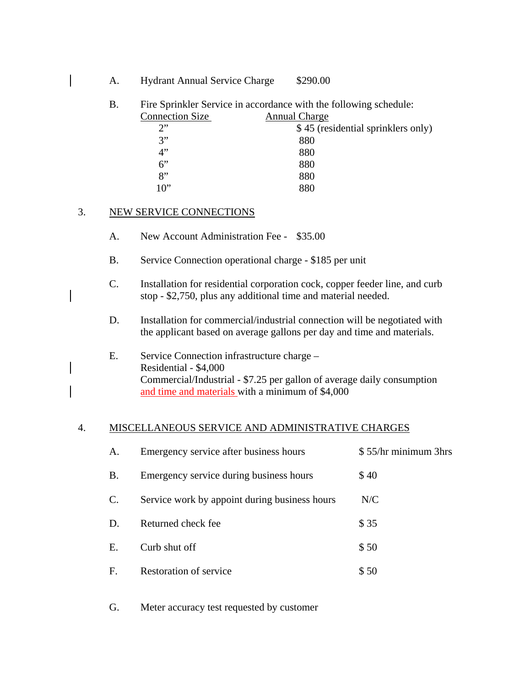| <b>Hydrant Annual Service Charge</b> |  | \$290.00 |
|--------------------------------------|--|----------|
|                                      |  |          |

B. Fire Sprinkler Service in accordance with the following schedule:<br>Connection Size Annual Charge Connection Size

| COMPOSITION STEV | Allique Charge                     |
|------------------|------------------------------------|
| ን"               | \$45 (residential sprinklers only) |
| 3"               | 880                                |
| 4"               | 880                                |
| 6"               | 880                                |
| $\mathbf{R}^{,}$ | 880                                |
| $10$ "           | 880                                |
|                  |                                    |

### 3. NEW SERVICE CONNECTIONS

- A. New Account Administration Fee \$35.00
- B. Service Connection operational charge \$185 per unit
- C. Installation for residential corporation cock, copper feeder line, and curb stop - \$2,750, plus any additional time and material needed.
- D. Installation for commercial/industrial connection will be negotiated with the applicant based on average gallons per day and time and materials.
- E. Service Connection infrastructure charge Residential - \$4,000 Commercial/Industrial - \$7.25 per gallon of average daily consumption and time and materials with a minimum of \$4,000

#### 4. MISCELLANEOUS SERVICE AND ADMINISTRATIVE CHARGES

| А.              | Emergency service after business hours        | \$55/hr minimum 3hrs |
|-----------------|-----------------------------------------------|----------------------|
| В.              | Emergency service during business hours       | \$40                 |
| $\mathcal{C}$ . | Service work by appoint during business hours | N/C                  |
| D.              | Returned check fee                            | \$35                 |
| Е.              | Curb shut off                                 | \$50                 |
| F.              | <b>Restoration of service</b>                 | \$50                 |

G. Meter accuracy test requested by customer